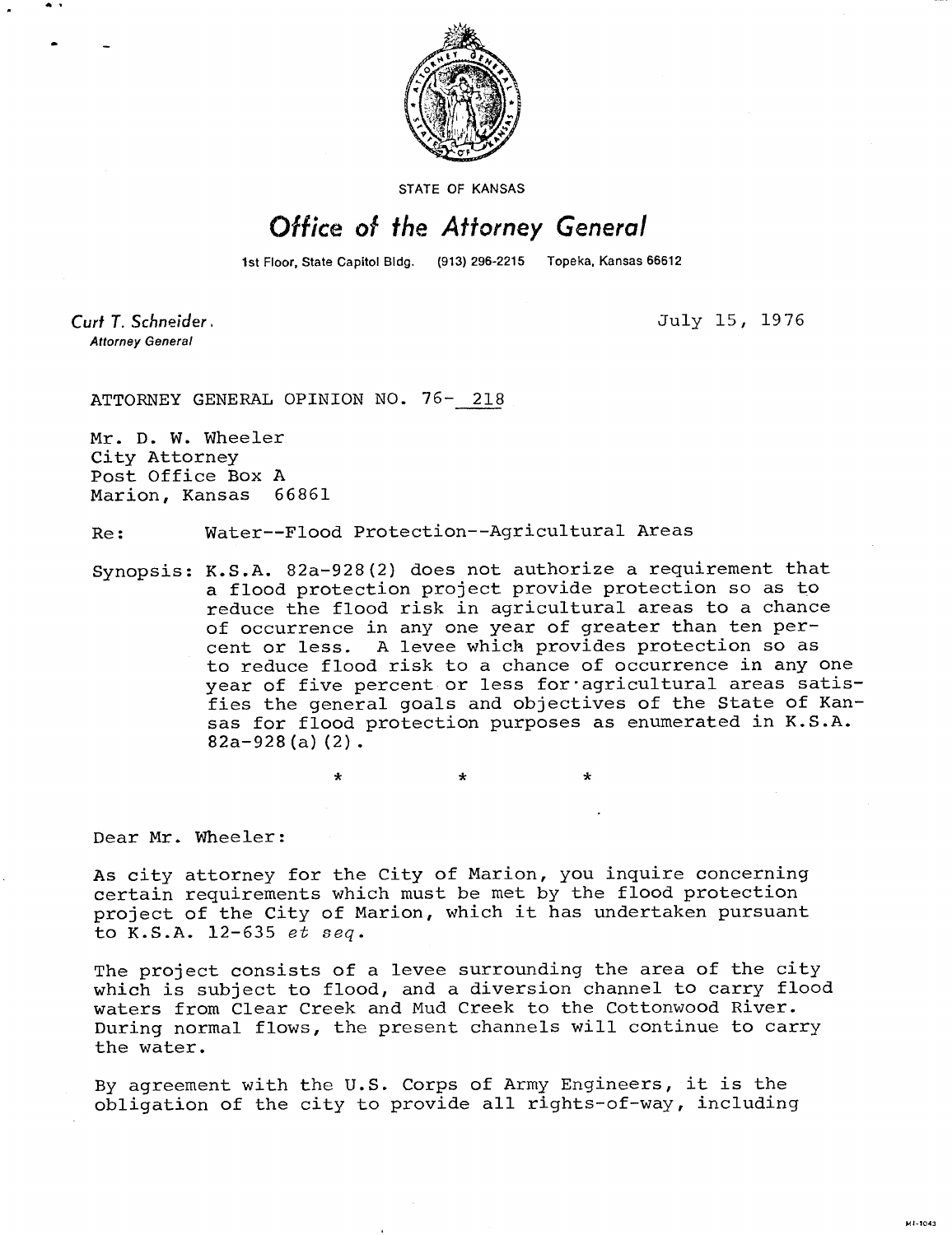

STATE OF KANSAS

## Office of the Attorney General

1st Floor, State Capitol Bldg. (913) 296-2215 Topeka, Kansas 66612

Curt T. Schneider. **Attorney General** 

July 15, 1976

ATTORNEY GENERAL OPINION NO. 76- 218

Mr. D. W. Wheeler City Attorney Post Office Box A Marion, Kansas 66861

## Re: Water--Flood Protection--Agricultural Areas

\*

Synopsis: K.S.A. 82a-928(2) does not authorize a requirement that a flood protection project provide protection so as to reduce the flood risk in agricultural areas to a chance of occurrence in any one year of greater than ten percent or less. A levee which provides protection so as to reduce flood risk to a chance of occurrence in any one year of five percent or less for agricultural areas satisfies the general goals and objectives of the State of Kansas for flood protection purposes as enumerated in K.S.A.  $82a-928(a)(2)$ .

Dear Mr. Wheeler:

As city attorney for the City of Marion, you inquire concerning certain requirements which must be met by the flood protection project of the City of Marion, which it has undertaken pursuant to K.S.A. 12-635 et seq.

The project consists of a levee surrounding the area of the city which is subject to flood, and a diversion channel to carry flood waters from Clear Creek and Mud Creek to the Cottonwood River. During normal flows, the present channels will continue to carry the water.

By agreement with the U.S. Corps of Army Engineers, it is the obligation of the city to provide all rights-of-way, including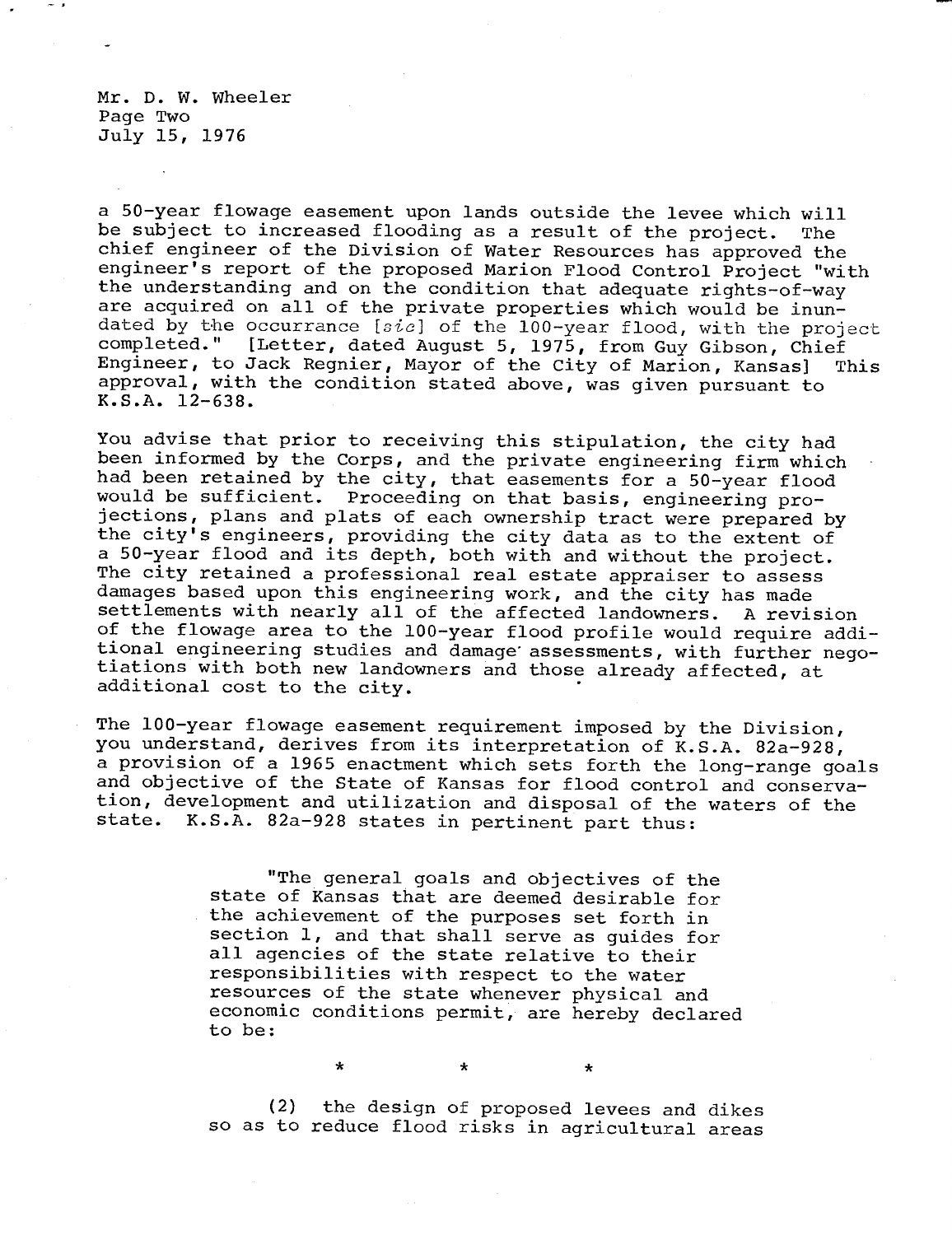Mr. D. W. Wheeler Page Two July 15, 1976

a 50-year flowage easement upon lands outside the levee which will be subject to increased flooding as a result of the project. The chief engineer of the Division of Water Resources has approved the engineer's report of the proposed Marion Flood Control Project "with the understanding and on the condition that adequate rights-of-way are acquired on all of the private properties which would be inundated by the occurrance [ $sic$ ] of the 100-year flood, with the project completed." [Letter, dated August 5, 1975, from Guy Gibson, Chief Engineer, to Jack Regnier, Mayor of the City of Marion, Kansas] This approval, with the condition stated above, was given pursuant to K.S.A. 12-638.

You advise that prior to receiving this stipulation, the city had been informed by the Corps, and the private engineering firm which had been retained by the city, that easements for a 50-year flood would be sufficient. Proceeding on that basis, engineering projections, plans and plats of each ownership tract were prepared by the city's engineers, providing the city data as to the extent of a 50-year flood and its depth, both with and without the project. The city retained a professional real estate appraiser to assess damages based upon this engineering work, and the city has made settlements with nearly all of the affected landowners. A revision of the flowage area to the 100-year flood profile would require additional engineering studies and damage' assessments, with further negotiations with both new landowners and those already affected, at additional cost to the city.

The 100-year flowage easement requirement imposed by the Division, you understand, derives from its interpretation of K.S.A. 82a-928, a provision of a 1965 enactment which sets forth the long-range goals and objective of the State of Kansas for flood control and conservation, development and utilization and disposal of the waters of the state. K.S.A. 82a-928 states in pertinent part thus:

> "The general goals and objectives of the state of Kansas that are deemed desirable for the achievement of the purposes set forth in section 1, and that shall serve as guides for all agencies of the state relative to their responsibilities with respect to the water resources of the state whenever physical and economic conditions permit, are hereby declared to be:

 $\star$ 

 $\star$ 

(2) the design of proposed levees and dikes so as to reduce flood risks in agricultural areas

 $\star$